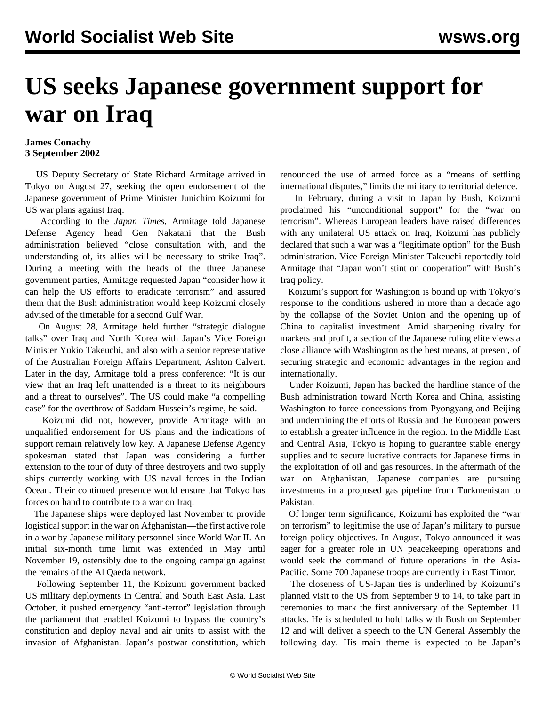## **US seeks Japanese government support for war on Iraq**

## **James Conachy 3 September 2002**

 US Deputy Secretary of State Richard Armitage arrived in Tokyo on August 27, seeking the open endorsement of the Japanese government of Prime Minister Junichiro Koizumi for US war plans against Iraq.

 According to the *Japan Times*, Armitage told Japanese Defense Agency head Gen Nakatani that the Bush administration believed "close consultation with, and the understanding of, its allies will be necessary to strike Iraq". During a meeting with the heads of the three Japanese government parties, Armitage requested Japan "consider how it can help the US efforts to eradicate terrorism" and assured them that the Bush administration would keep Koizumi closely advised of the timetable for a second Gulf War.

 On August 28, Armitage held further "strategic dialogue talks" over Iraq and North Korea with Japan's Vice Foreign Minister Yukio Takeuchi, and also with a senior representative of the Australian Foreign Affairs Department, Ashton Calvert. Later in the day, Armitage told a press conference: "It is our view that an Iraq left unattended is a threat to its neighbours and a threat to ourselves". The US could make "a compelling case" for the overthrow of Saddam Hussein's regime, he said.

 Koizumi did not, however, provide Armitage with an unqualified endorsement for US plans and the indications of support remain relatively low key. A Japanese Defense Agency spokesman stated that Japan was considering a further extension to the tour of duty of three destroyers and two supply ships currently working with US naval forces in the Indian Ocean. Their continued presence would ensure that Tokyo has forces on hand to contribute to a war on Iraq.

 The Japanese ships were deployed last November to provide logistical support in the war on Afghanistan—the first active role in a war by Japanese military personnel since World War II. An initial six-month time limit was extended in May until November 19, ostensibly due to the ongoing campaign against the remains of the Al Qaeda network.

 Following September 11, the Koizumi government backed US military deployments in Central and South East Asia. Last October, it pushed emergency "anti-terror" legislation through the parliament that enabled Koizumi to bypass the country's constitution and deploy naval and air units to assist with the invasion of Afghanistan. Japan's postwar constitution, which

renounced the use of armed force as a "means of settling international disputes," limits the military to territorial defence.

 In February, during a visit to Japan by Bush, Koizumi proclaimed his "unconditional support" for the "war on terrorism". Whereas European leaders have raised differences with any unilateral US attack on Iraq, Koizumi has publicly declared that such a war was a "legitimate option" for the Bush administration. Vice Foreign Minister Takeuchi reportedly told Armitage that "Japan won't stint on cooperation" with Bush's Iraq policy.

 Koizumi's support for Washington is bound up with Tokyo's response to the conditions ushered in more than a decade ago by the collapse of the Soviet Union and the opening up of China to capitalist investment. Amid sharpening rivalry for markets and profit, a section of the Japanese ruling elite views a close alliance with Washington as the best means, at present, of securing strategic and economic advantages in the region and internationally.

 Under Koizumi, Japan has backed the hardline stance of the Bush administration toward North Korea and China, assisting Washington to force concessions from Pyongyang and Beijing and undermining the efforts of Russia and the European powers to establish a greater influence in the region. In the Middle East and Central Asia, Tokyo is hoping to guarantee stable energy supplies and to secure lucrative contracts for Japanese firms in the exploitation of oil and gas resources. In the aftermath of the war on Afghanistan, Japanese companies are pursuing investments in a proposed gas pipeline from Turkmenistan to Pakistan.

 Of longer term significance, Koizumi has exploited the "war on terrorism" to legitimise the use of Japan's military to pursue foreign policy objectives. In August, Tokyo announced it was eager for a greater role in UN peacekeeping operations and would seek the command of future operations in the Asia-Pacific. Some 700 Japanese troops are currently in East Timor.

 The closeness of US-Japan ties is underlined by Koizumi's planned visit to the US from September 9 to 14, to take part in ceremonies to mark the first anniversary of the September 11 attacks. He is scheduled to hold talks with Bush on September 12 and will deliver a speech to the UN General Assembly the following day. His main theme is expected to be Japan's